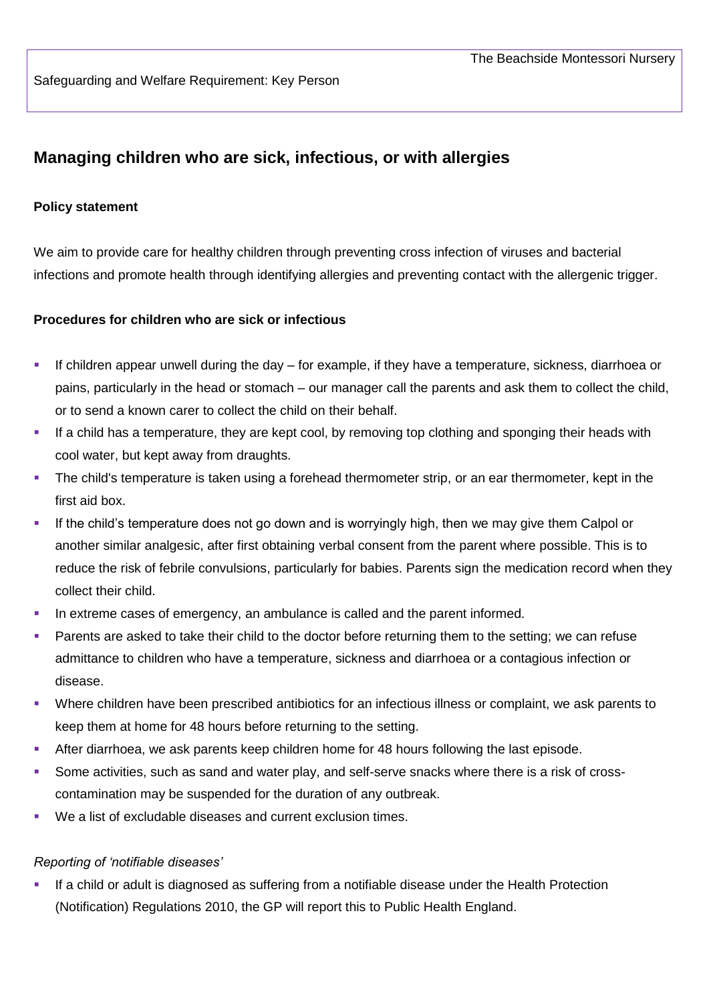# **Managing children who are sick, infectious, or with allergies**

### **Policy statement**

We aim to provide care for healthy children through preventing cross infection of viruses and bacterial infections and promote health through identifying allergies and preventing contact with the allergenic trigger.

### **Procedures for children who are sick or infectious**

- If children appear unwell during the day for example, if they have a temperature, sickness, diarrhoea or pains, particularly in the head or stomach – our manager call the parents and ask them to collect the child, or to send a known carer to collect the child on their behalf.
- If a child has a temperature, they are kept cool, by removing top clothing and sponging their heads with cool water, but kept away from draughts.
- The child's temperature is taken using a forehead thermometer strip, or an ear thermometer, kept in the first aid box.
- If the child's temperature does not go down and is worryingly high, then we may give them Calpol or another similar analgesic, after first obtaining verbal consent from the parent where possible. This is to reduce the risk of febrile convulsions, particularly for babies. Parents sign the medication record when they collect their child.
- In extreme cases of emergency, an ambulance is called and the parent informed.
- Parents are asked to take their child to the doctor before returning them to the setting; we can refuse admittance to children who have a temperature, sickness and diarrhoea or a contagious infection or disease.
- Where children have been prescribed antibiotics for an infectious illness or complaint, we ask parents to keep them at home for 48 hours before returning to the setting.
- After diarrhoea, we ask parents keep children home for 48 hours following the last episode.
- Some activities, such as sand and water play, and self-serve snacks where there is a risk of crosscontamination may be suspended for the duration of any outbreak.
- We a list of excludable diseases and current exclusion times.

#### *Reporting of 'notifiable diseases'*

 If a child or adult is diagnosed as suffering from a notifiable disease under the Health Protection (Notification) Regulations 2010, the GP will report this to Public Health England.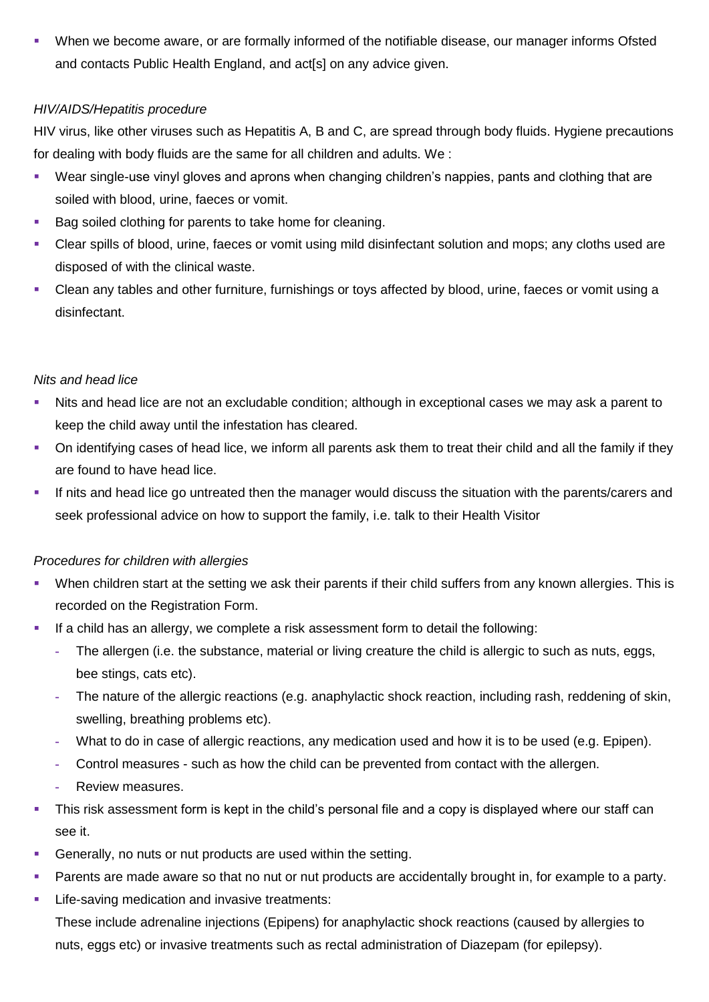When we become aware, or are formally informed of the notifiable disease, our manager informs Ofsted and contacts Public Health England, and act[s] on any advice given.

## *HIV/AIDS/Hepatitis procedure*

HIV virus, like other viruses such as Hepatitis A, B and C, are spread through body fluids. Hygiene precautions for dealing with body fluids are the same for all children and adults. We :

- Wear single-use vinyl gloves and aprons when changing children's nappies, pants and clothing that are soiled with blood, urine, faeces or vomit.
- Bag soiled clothing for parents to take home for cleaning.
- Clear spills of blood, urine, faeces or vomit using mild disinfectant solution and mops; any cloths used are disposed of with the clinical waste.
- Clean any tables and other furniture, furnishings or toys affected by blood, urine, faeces or vomit using a disinfectant.

## *Nits and head lice*

- Nits and head lice are not an excludable condition; although in exceptional cases we may ask a parent to keep the child away until the infestation has cleared.
- On identifying cases of head lice, we inform all parents ask them to treat their child and all the family if they are found to have head lice.
- If nits and head lice go untreated then the manager would discuss the situation with the parents/carers and seek professional advice on how to support the family, i.e. talk to their Health Visitor

# *Procedures for children with allergies*

- When children start at the setting we ask their parents if their child suffers from any known allergies. This is recorded on the Registration Form.
- If a child has an allergy, we complete a risk assessment form to detail the following:
	- **-** The allergen (i.e. the substance, material or living creature the child is allergic to such as nuts, eggs, bee stings, cats etc).
	- **-** The nature of the allergic reactions (e.g. anaphylactic shock reaction, including rash, reddening of skin, swelling, breathing problems etc).
	- **-** What to do in case of allergic reactions, any medication used and how it is to be used (e.g. Epipen).
	- **-** Control measures such as how the child can be prevented from contact with the allergen.
	- **-** Review measures.
- This risk assessment form is kept in the child's personal file and a copy is displayed where our staff can see it.
- Generally, no nuts or nut products are used within the setting.
- Parents are made aware so that no nut or nut products are accidentally brought in, for example to a party.
- Life-saving medication and invasive treatments:

These include adrenaline injections (Epipens) for anaphylactic shock reactions (caused by allergies to nuts, eggs etc) or invasive treatments such as rectal administration of Diazepam (for epilepsy).